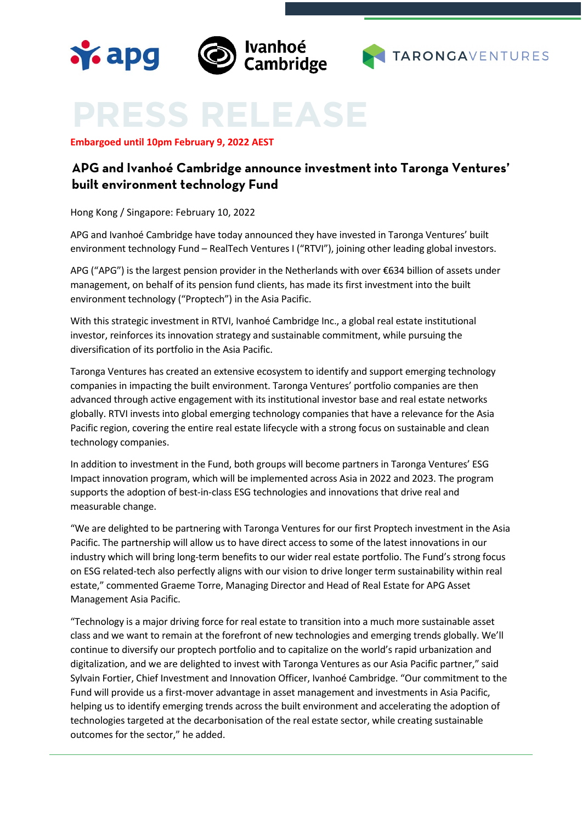



**Embargoed until 10pm February 9, 2022 AEST**

**Y.** apg

# **APG and Ivanhoé Cambridge announce investment into Taronga Ventures' built environment technology Fund**

Hong Kong / Singapore: February 10, 2022

APG and Ivanhoé Cambridge have today announced they have invested in Taronga Ventures' built environment technology Fund – RealTech Ventures I ("RTVI"), joining other leading global investors.

APG ("APG") is the largest pension provider in the Netherlands with over €634 billion of assets under management, on behalf of its pension fund clients, has made its first investment into the built environment technology ("Proptech") in the Asia Pacific.

With this strategic investment in RTVI, Ivanhoé Cambridge Inc., a global real estate institutional investor, reinforces its innovation strategy and sustainable commitment, while pursuing the diversification of its portfolio in the Asia Pacific.

Taronga Ventures has created an extensive ecosystem to identify and support emerging technology companies in impacting the built environment. Taronga Ventures' portfolio companies are then advanced through active engagement with its institutional investor base and real estate networks globally. RTVI invests into global emerging technology companies that have a relevance for the Asia Pacific region, covering the entire real estate lifecycle with a strong focus on sustainable and clean technology companies.

In addition to investment in the Fund, both groups will become partners in Taronga Ventures' ESG Impact innovation program, which will be implemented across Asia in 2022 and 2023. The program supports the adoption of best-in-class ESG technologies and innovations that drive real and measurable change.

"We are delighted to be partnering with Taronga Ventures for our first Proptech investment in the Asia Pacific. The partnership will allow us to have direct access to some of the latest innovations in our industry which will bring long-term benefits to our wider real estate portfolio. The Fund's strong focus on ESG related-tech also perfectly aligns with our vision to drive longer term sustainability within real estate," commented Graeme Torre, Managing Director and Head of Real Estate for APG Asset Management Asia Pacific.

"Technology is a major driving force for real estate to transition into a much more sustainable asset class and we want to remain at the forefront of new technologies and emerging trends globally. We'll continue to diversify our proptech portfolio and to capitalize on the world's rapid urbanization and digitalization, and we are delighted to invest with Taronga Ventures as our Asia Pacific partner," said Sylvain Fortier, Chief Investment and Innovation Officer, Ivanhoé Cambridge. "Our commitment to the Fund will provide us a first-mover advantage in asset management and investments in Asia Pacific, helping us to identify emerging trends across the built environment and accelerating the adoption of technologies targeted at the decarbonisation of the real estate sector, while creating sustainable outcomes for the sector," he added.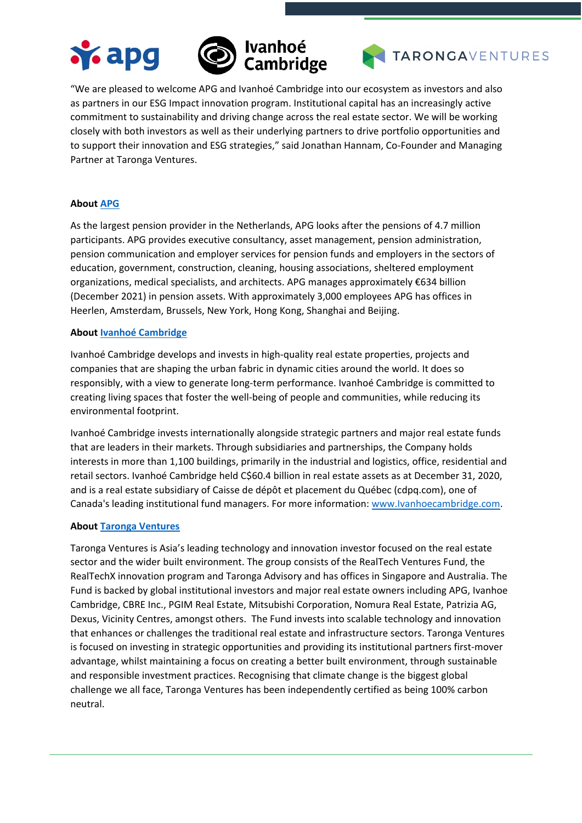





"We are pleased to welcome APG and Ivanhoé Cambridge into our ecosystem as investors and also as partners in our ESG Impact innovation program. Institutional capital has an increasingly active commitment to sustainability and driving change across the real estate sector. We will be working closely with both investors as well as their underlying partners to drive portfolio opportunities and to support their innovation and ESG strategies," said Jonathan Hannam, Co-Founder and Managing Partner at Taronga Ventures.

# **Abou[t APG](https://apg.nl/en/)**

As the largest pension provider in the Netherlands, APG looks after the pensions of 4.7 million participants. APG provides executive consultancy, asset management, pension administration, pension communication and employer services for pension funds and employers in the sectors of education, government, construction, cleaning, housing associations, sheltered employment organizations, medical specialists, and architects. APG manages approximately €634 billion (December 2021) in pension assets. With approximately 3,000 employees APG has offices in Heerlen, Amsterdam, Brussels, New York, Hong Kong, Shanghai and Beijing.

### **Abou[t Ivanhoé Cambridge](http://www.ivanhoecambridge.com/)**

Ivanhoé Cambridge develops and invests in high-quality real estate properties, projects and companies that are shaping the urban fabric in dynamic cities around the world. It does so responsibly, with a view to generate long-term performance. Ivanhoé Cambridge is committed to creating living spaces that foster the well-being of people and communities, while reducing its environmental footprint.

Ivanhoé Cambridge invests internationally alongside strategic partners and major real estate funds that are leaders in their markets. Through subsidiaries and partnerships, the Company holds interests in more than 1,100 buildings, primarily in the industrial and logistics, office, residential and retail sectors. Ivanhoé Cambridge held C\$60.4 billion in real estate assets as at December 31, 2020, and is a real estate subsidiary of Caisse de dépôt et placement du Québec [\(cdpq.com\)](https://www.cdpq.com/en/news/pressreleases/new-appointments-to-the-ivanhoe-cambridge-board-of-directors##www.cdpq.com/en), one of Canada's leading institutional fund managers. For more information: [www.Ivanhoecambridge.com.](http://www.ivanhoecambridge.com/)

### **About Taronga [Ventures](https://tarongagroup.com/)**

Taronga Ventures is Asia's leading technology and innovation investor focused on the real estate sector and the wider built environment. The group consists of the RealTech Ventures Fund, the RealTechX innovation program and Taronga Advisory and has offices in Singapore and Australia. The Fund is backed by global institutional investors and major real estate owners including APG, Ivanhoe Cambridge, CBRE Inc., PGIM Real Estate, Mitsubishi Corporation, Nomura Real Estate, Patrizia AG, Dexus, Vicinity Centres, amongst others. The Fund invests into scalable technology and innovation that enhances or challenges the traditional real estate and infrastructure sectors. Taronga Ventures is focused on investing in strategic opportunities and providing its institutional partners first-mover advantage, whilst maintaining a focus on creating a better built environment, through sustainable and responsible investment practices. Recognising that climate change is the biggest global challenge we all face, Taronga Ventures has been independently certified as being 100% carbon neutral.